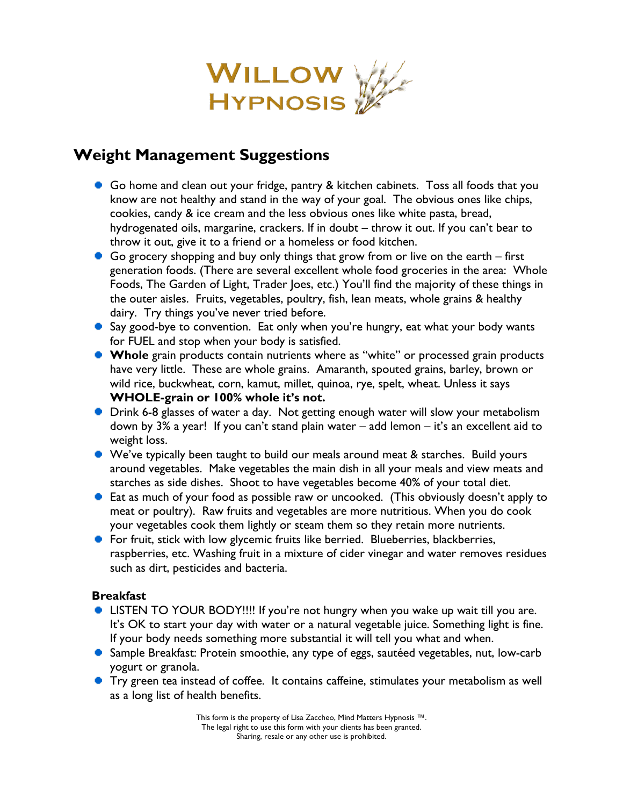

# **Weight Management Suggestions**

- Go home and clean out your fridge, pantry & kitchen cabinets. Toss all foods that you know are not healthy and stand in the way of your goal. The obvious ones like chips, cookies, candy & ice cream and the less obvious ones like white pasta, bread, hydrogenated oils, margarine, crackers. If in doubt – throw it out. If you can't bear to throw it out, give it to a friend or a homeless or food kitchen.
- Go grocery shopping and buy only things that grow from or live on the earth first generation foods. (There are several excellent whole food groceries in the area: Whole Foods, The Garden of Light, Trader Joes, etc.) You'll find the majority of these things in the outer aisles. Fruits, vegetables, poultry, fish, lean meats, whole grains & healthy dairy. Try things you've never tried before.
- Say good-bye to convention. Eat only when you're hungry, eat what your body wants for FUEL and stop when your body is satisfied.
- **Whole** grain products contain nutrients where as "white" or processed grain products have very little. These are whole grains. Amaranth, spouted grains, barley, brown or wild rice, buckwheat, corn, kamut, millet, quinoa, rye, spelt, wheat. Unless it says **WHOLE-grain or 100% whole it's not.**
- **•** Drink 6-8 glasses of water a day. Not getting enough water will slow your metabolism down by 3% a year! If you can't stand plain water – add lemon – it's an excellent aid to weight loss.
- We've typically been taught to build our meals around meat & starches. Build yours around vegetables. Make vegetables the main dish in all your meals and view meats and starches as side dishes. Shoot to have vegetables become 40% of your total diet.
- Eat as much of your food as possible raw or uncooked. (This obviously doesn't apply to meat or poultry). Raw fruits and vegetables are more nutritious. When you do cook your vegetables cook them lightly or steam them so they retain more nutrients.
- For fruit, stick with low glycemic fruits like berried. Blueberries, blackberries, raspberries, etc. Washing fruit in a mixture of cider vinegar and water removes residues such as dirt, pesticides and bacteria.

# **Breakfast**

- LISTEN TO YOUR BODY!!!! If you're not hungry when you wake up wait till you are. It's OK to start your day with water or a natural vegetable juice. Something light is fine. If your body needs something more substantial it will tell you what and when.
- Sample Breakfast: Protein smoothie, any type of eggs, sautéed vegetables, nut, low-carb yogurt or granola.
- **•** Try green tea instead of coffee. It contains caffeine, stimulates your metabolism as well as a long list of health benefits.